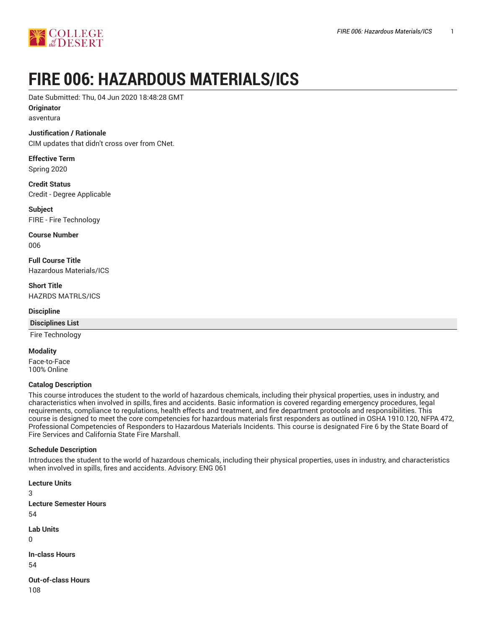

# **FIRE 006: HAZARDOUS MATERIALS/ICS**

Date Submitted: Thu, 04 Jun 2020 18:48:28 GMT

**Originator** asventura

## **Justification / Rationale**

CIM updates that didn't cross over from CNet.

**Effective Term** Spring 2020

**Credit Status** Credit - Degree Applicable

**Subject** FIRE - Fire Technology

**Course Number** 006

**Full Course Title** Hazardous Materials/ICS

**Short Title** HAZRDS MATRLS/ICS

**Discipline**

**Disciplines List**

Fire Technology

**Modality**

Face-to-Face 100% Online

#### **Catalog Description**

This course introduces the student to the world of hazardous chemicals, including their physical properties, uses in industry, and characteristics when involved in spills, fires and accidents. Basic information is covered regarding emergency procedures, legal requirements, compliance to regulations, health effects and treatment, and fire department protocols and responsibilities. This course is designed to meet the core competencies for hazardous materials first responders as outlined in OSHA 1910.120, NFPA 472, Professional Competencies of Responders to Hazardous Materials Incidents. This course is designated Fire 6 by the State Board of Fire Services and California State Fire Marshall.

#### **Schedule Description**

Introduces the student to the world of hazardous chemicals, including their physical properties, uses in industry, and characteristics when involved in spills, fires and accidents. Advisory: ENG 061

**Lecture Units** 3 **Lecture Semester Hours** 54 **Lab Units**  $\Omega$ **In-class Hours** 54 **Out-of-class Hours**

108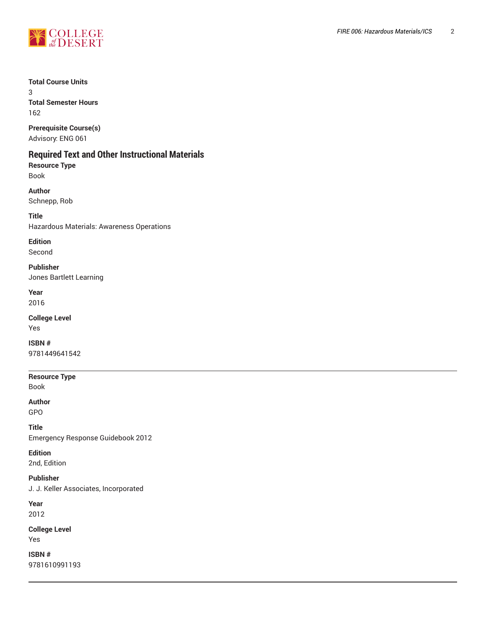

## **Total Course Units**

3 **Total Semester Hours** 162

**Prerequisite Course(s)**

Advisory: ENG 061

## **Required Text and Other Instructional Materials**

**Resource Type** Book

**Author** Schnepp, Rob

**Title**

Hazardous Materials: Awareness Operations

**Edition**

Second

**Publisher** Jones Bartlett Learning

**Year** 2016

**College Level** Yes

**ISBN #** 9781449641542

**Resource Type** Book

**Author** GPO

**Title** Emergency Response Guidebook 2012

**Edition** 2nd, Edition

**Publisher** J. J. Keller Associates, Incorporated

**Year**

2012

**College Level** Yes

**ISBN #** 9781610991193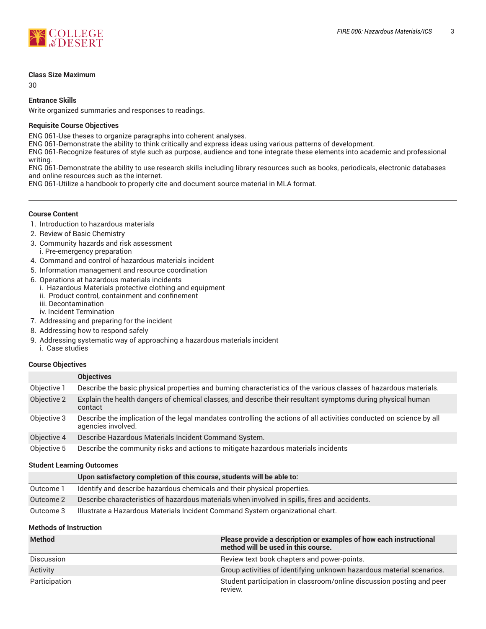

#### **Class Size Maximum**

30

#### **Entrance Skills**

Write organized summaries and responses to readings.

#### **Requisite Course Objectives**

ENG 061-Use theses to organize paragraphs into coherent analyses.

ENG 061-Demonstrate the ability to think critically and express ideas using various patterns of development.

ENG 061-Recognize features of style such as purpose, audience and tone integrate these elements into academic and professional writing.

ENG 061-Demonstrate the ability to use research skills including library resources such as books, periodicals, electronic databases and online resources such as the internet.

ENG 061-Utilize a handbook to properly cite and document source material in MLA format.

#### **Course Content**

- 1. Introduction to hazardous materials
- 2. Review of Basic Chemistry
- 3. Community hazards and risk assessment i. Pre-emergency preparation
- 4. Command and control of hazardous materials incident
- 5. Information management and resource coordination
- 6. Operations at hazardous materials incidents
	- i. Hazardous Materials protective clothing and equipment
	- ii. Product control, containment and confinement
	- iii. Decontamination
	- iv. Incident Termination
- 7. Addressing and preparing for the incident
- 8. Addressing how to respond safely
- 9. Addressing systematic way of approaching a hazardous materials incident i. Case studies

#### **Course Objectives**

|             | <b>Objectives</b>                                                                                                                          |
|-------------|--------------------------------------------------------------------------------------------------------------------------------------------|
| Objective 1 | Describe the basic physical properties and burning characteristics of the various classes of hazardous materials.                          |
| Objective 2 | Explain the health dangers of chemical classes, and describe their resultant symptoms during physical human<br>contact                     |
| Objective 3 | Describe the implication of the legal mandates controlling the actions of all activities conducted on science by all<br>agencies involved. |
| Objective 4 | Describe Hazardous Materials Incident Command System.                                                                                      |
| Objective 5 | Describe the community risks and actions to mitigate hazardous materials incidents                                                         |

#### **Student Learning Outcomes**

|           | Upon satisfactory completion of this course, students will be able to:                        |
|-----------|-----------------------------------------------------------------------------------------------|
| Outcome 1 | Identify and describe hazardous chemicals and their physical properties.                      |
| Outcome 2 | Describe characteristics of hazardous materials when involved in spills, fires and accidents. |
| Outcome 3 | Illustrate a Hazardous Materials Incident Command System organizational chart.                |

#### **Methods of Instruction**

| <b>Method</b>     | Please provide a description or examples of how each instructional<br>method will be used in this course. |
|-------------------|-----------------------------------------------------------------------------------------------------------|
| <b>Discussion</b> | Review text book chapters and power-points.                                                               |
| Activity          | Group activities of identifying unknown hazardous material scenarios.                                     |
| Participation     | Student participation in classroom/online discussion posting and peer<br>review.                          |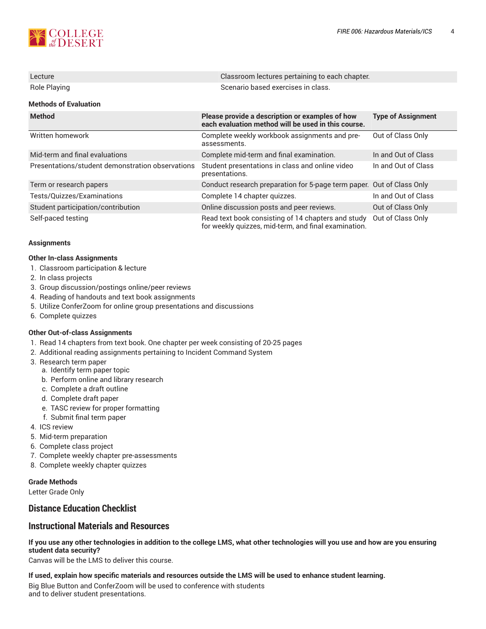

| Lecture                                          | Classroom lectures pertaining to each chapter.                                                             |                           |  |  |  |  |  |
|--------------------------------------------------|------------------------------------------------------------------------------------------------------------|---------------------------|--|--|--|--|--|
| Role Playing                                     | Scenario based exercises in class.                                                                         |                           |  |  |  |  |  |
| <b>Methods of Evaluation</b>                     |                                                                                                            |                           |  |  |  |  |  |
| <b>Method</b>                                    | Please provide a description or examples of how<br>each evaluation method will be used in this course.     | <b>Type of Assignment</b> |  |  |  |  |  |
| Written homework                                 | Complete weekly workbook assignments and pre-<br>assessments.                                              | Out of Class Only         |  |  |  |  |  |
| Mid-term and final evaluations                   | Complete mid-term and final examination.                                                                   | In and Out of Class       |  |  |  |  |  |
| Presentations/student demonstration observations | Student presentations in class and online video<br>presentations.                                          | In and Out of Class       |  |  |  |  |  |
| Term or research papers                          | Conduct research preparation for 5-page term paper. Out of Class Only                                      |                           |  |  |  |  |  |
| Tests/Quizzes/Examinations                       | Complete 14 chapter quizzes.                                                                               | In and Out of Class       |  |  |  |  |  |
| Student participation/contribution               | Online discussion posts and peer reviews.                                                                  | Out of Class Only         |  |  |  |  |  |
| Self-paced testing                               | Read text book consisting of 14 chapters and study<br>for weekly quizzes, mid-term, and final examination. | Out of Class Only         |  |  |  |  |  |

#### **Assignments**

#### **Other In-class Assignments**

- 1. Classroom participation & lecture
- 2. In class projects
- 3. Group discussion/postings online/peer reviews
- 4. Reading of handouts and text book assignments
- 5. Utilize ConferZoom for online group presentations and discussions
- 6. Complete quizzes

#### **Other Out-of-class Assignments**

- 1. Read 14 chapters from text book. One chapter per week consisting of 20-25 pages
- 2. Additional reading assignments pertaining to Incident Command System
- 3. Research term paper
	- a. Identify term paper topic
	- b. Perform online and library research
	- c. Complete a draft outline
	- d. Complete draft paper
	- e. TASC review for proper formatting
	- f. Submit final term paper
- 4. ICS review
- 5. Mid-term preparation
- 6. Complete class project
- 7. Complete weekly chapter pre-assessments
- 8. Complete weekly chapter quizzes

#### **Grade Methods**

Letter Grade Only

## **Distance Education Checklist**

## **Instructional Materials and Resources**

If you use any other technologies in addition to the college LMS, what other technologies will you use and how are you ensuring **student data security?**

Canvas will be the LMS to deliver this course.

**If used, explain how specific materials and resources outside the LMS will be used to enhance student learning.** Big Blue Button and ConferZoom will be used to conference with students and to deliver student presentations.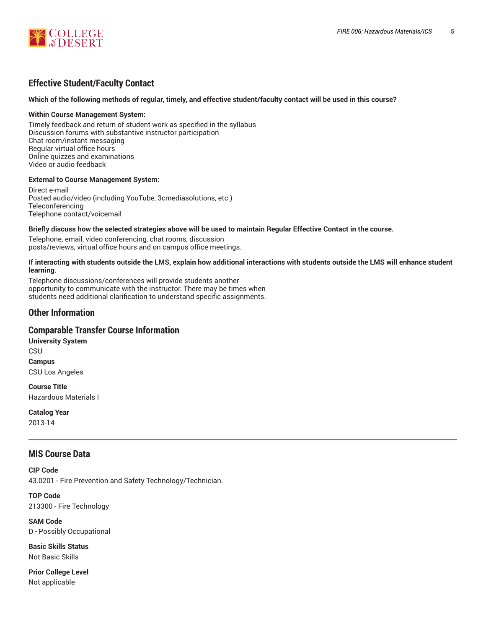

## **Effective Student/Faculty Contact**

#### Which of the following methods of regular, timely, and effective student/faculty contact will be used in this course?

#### **Within Course Management System:**

Timely feedback and return of student work as specified in the syllabus Discussion forums with substantive instructor participation Chat room/instant messaging Regular virtual office hours Online quizzes and examinations Video or audio feedback

#### **External to Course Management System:**

Direct e-mail Posted audio/video (including YouTube, 3cmediasolutions, etc.) **Teleconferencing** Telephone contact/voicemail

#### Briefly discuss how the selected strategies above will be used to maintain Regular Effective Contact in the course.

Telephone, email, video conferencing, chat rooms, discussion posts/reviews, virtual office hours and on campus office meetings.

#### **If interacting with students outside the LMS, explain how additional interactions with students outside the LMS will enhance student learning.**

Telephone discussions/conferences will provide students another opportunity to communicate with the instructor. There may be times when students need additional clarification to understand specific assignments.

### **Other Information**

#### **Comparable Transfer Course Information**

**University System CSU Campus** CSU Los Angeles

**Course Title** Hazardous Materials I

**Catalog Year** 2013-14

## **MIS Course Data**

**CIP Code** 43.0201 - Fire Prevention and Safety Technology/Technician.

**TOP Code** 213300 - Fire Technology

**SAM Code** D - Possibly Occupational

**Basic Skills Status** Not Basic Skills

**Prior College Level** Not applicable